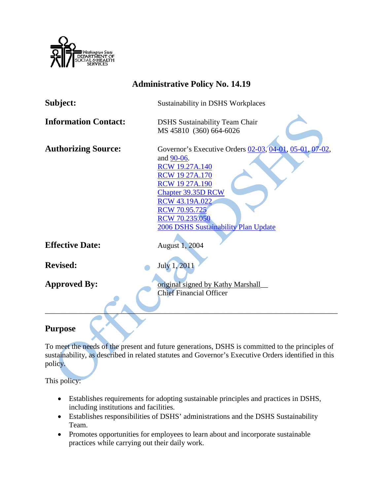

| <b>Administrative Policy No. 14.19</b> |                                                                                                                                                                                                                                                                                          |
|----------------------------------------|------------------------------------------------------------------------------------------------------------------------------------------------------------------------------------------------------------------------------------------------------------------------------------------|
| Subject:                               | Sustainability in DSHS Workplaces                                                                                                                                                                                                                                                        |
| <b>Information Contact:</b>            | <b>DSHS</b> Sustainability Team Chair<br>MS 45810 (360) 664-6026                                                                                                                                                                                                                         |
| <b>Authorizing Source:</b>             | Governor's Executive Orders 02-03, 04-01, 05-01, 07-02,<br>and 90-06.<br><b>RCW 19.27A.140</b><br><b>RCW 19 27A.170</b><br><b>RCW 19 27A.190</b><br><b>Chapter 39.35D RCW</b><br><b>RCW 43.19A.022</b><br><b>RCW 70.95.725</b><br>RCW 70.235.050<br>2006 DSHS Sustainability Plan Update |
| <b>Effective Date:</b>                 | August 1, 2004                                                                                                                                                                                                                                                                           |
| <b>Revised:</b>                        | July 1, 2011                                                                                                                                                                                                                                                                             |
| <b>Approved By:</b>                    | original signed by Kathy Marshall<br><b>Chief Financial Officer</b>                                                                                                                                                                                                                      |

# **Purpose**

To meet the needs of the present and future generations, DSHS is committed to the principles of sustainability, as described in related statutes and Governor's Executive Orders identified in this policy.

This policy:

- Establishes requirements for adopting sustainable principles and practices in DSHS, including institutions and facilities.
- Establishes responsibilities of DSHS' administrations and the DSHS Sustainability Team.
- Promotes opportunities for employees to learn about and incorporate sustainable practices while carrying out their daily work.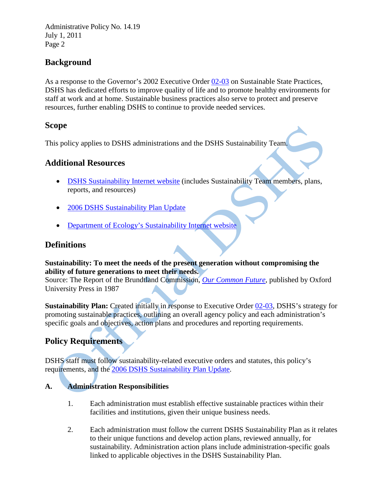Administrative Policy No. 14.19 July 1, 2011 Page 2

# **Background**

As a response to the Governor's 2002 Executive Order [02-03](http://www.governor.wa.gov/execorders/eoarchive/eo_02-03.htm) on Sustainable State Practices, DSHS has dedicated efforts to improve quality of life and to promote healthy environments for staff at work and at home. Sustainable business practices also serve to protect and preserve resources, further enabling DSHS to continue to provide needed services.

#### **Scope**

This policy applies to DSHS administrations and the DSHS Sustainability Team.

# **[Additional Resources](http://www.dshs.wa.gov/sustainable.shtml)**

- [DSHS Sustainability Internet website](http://www.dshs.wa.gov/sustainable.shtml) (includes Sustainability Team members, plans, reports, and resources)
- [2006 DSHS Sustainability Plan Update](http://www.dshs.wa.gov/word/EA/2006SusRpt.doc)
- [Department of Ecology's Sustainability Internet website](http://www.ecy.wa.gov/sustainability/index.html)

## **Definitions**

#### **Sustainability: To meet the needs of the present generation without compromising the ability of future generations to meet their needs.**

Source: The Report of the Brundtland Commission, *[Our Common Future](http://en.wikipedia.org/wiki/Our_Common_Future)*, published by Oxford University Press in 1987

**Sustainability Plan:** Created initially in response to Executive Order [02-03,](http://www.governor.wa.gov/execorders/eoarchive/eo_02-03.htm) DSHS's strategy for promoting sustainable practices, outlining an overall agency policy and each administration's specific goals and objectives, action plans and procedures and reporting requirements.

# **Policy Requirements**

DSHS staff must follow sustainability-related executive orders and statutes, this policy's requirements, and the [2006 DSHS Sustainability Plan Update.](http://www.dshs.wa.gov/word/EA/2006SusRpt.doc)

### **A. Administration Responsibilities**

- 1. Each administration must establish effective sustainable practices within their facilities and institutions, given their unique business needs.
- 2. Each administration must follow the current [DSHS Sustainability Plan](http://www.dshs.wa.gov/word/EA/2006SusRpt.doc) as it relates to their unique functions and develop action plans, reviewed annually, for sustainability. Administration action plans include administration-specific goals linked to applicable objectives in the DSHS Sustainability Plan.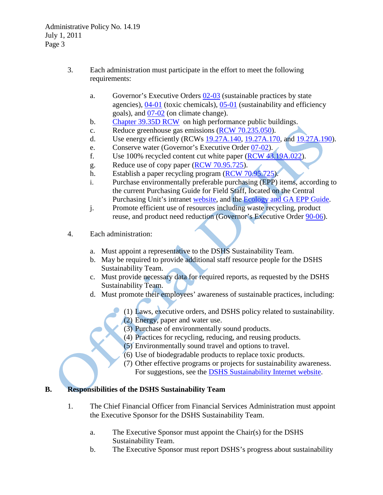- 3. Each administration must participate in the effort to meet the following requirements:
	- a. Governor's Executive Orders  $\frac{02-03}{3}$  (sustainable practices by state agencies), [04-01](http://www.governor.wa.gov/execorders/eoarchive/eo_04-01.htm) (toxic chemicals), [05-01](http://www.governor.wa.gov/execorders/eoarchive/eo_05-01.pdf) (sustainability and efficiency goals), and [07-02](http://www.governor.wa.gov/execorders/eo_07-02.pdf) (on climate change).
	- b. [Chapter 39.35D RCW](http://apps.leg.wa.gov/RCW/default.aspx?cite=39.35D) on high performance public buildings.
	- c. Reduce greenhouse gas emissions [\(RCW 70.235.050\)](http://apps.leg.wa.gov/RCW/default.aspx?cite=70.235.050).
	- d. Use energy efficiently (RCWs [19.27A.140,](http://apps.leg.wa.gov/RCW/default.aspx?cite=19.27A.140) [19.27A.170,](http://apps.leg.wa.gov/RCW/default.aspx?cite=19.27A.170) and [19.27A.190\)](http://apps.leg.wa.gov/RCW/default.aspx?cite=19.27A.190).
	- e. Conserve water (Governor's Executive Order [07-02\)](http://www.governor.wa.gov/execorders/eo_07-02.pdf).
	- f. Use 100% recycled content cut white paper [\(RCW 43.19A.022\)](http://apps.leg.wa.gov/RCW/default.aspx?cite=43.19A.022).
	- g. Reduce use of copy paper (RCW [70.95.725\)](http://apps.leg.wa.gov/RCW/default.aspx?cite=70.95.725).
	- h. Establish a paper recycling program (RCW [70.95.725\)](http://apps.leg.wa.gov/RCW/default.aspx?cite=70.95.725).
	- i. Purchase environmentally preferable purchasing (EPP) items, according to the current Purchasing Guide for Field Staff, located on the Central Purchasing Unit's intranet [website,](http://asd.dshs.wa.gov/TRACKS/index.htm) and the [Ecology and GA EPP Guide.](http://www.ga.wa.gov/pca/forms/epp-manual.pdf.)
	- j. Promote efficient use of resources including waste recycling, product reuse, and product need reduction (Governor's Executive Order [90-06\)](http://www.governor.wa.gov/execorders/eoarchive/eo90-06.htm).
- 4. Each administration:
	- a. Must appoint a representative to the DSHS Sustainability Team.
	- b. May be required to provide additional staff resource people for the DSHS Sustainability Team.
	- c. Must provide necessary data for required reports, as requested by the DSHS Sustainability Team.
	- d. Must promote their employees' awareness of sustainable practices, including:
		- (1) Laws, executive orders, and DSHS policy related to sustainability.
		- (2) Energy, paper and water use.
		- (3) Purchase of environmentally sound products.
		- (4) Practices for recycling, reducing, and reusing products.
		- (5) Environmentally sound travel and options to travel.
		- (6) Use of biodegradable products to replace toxic products.
		- (7) Other effective programs or projects for sustainability awareness. For suggestions, see [the DSHS Sustainability Internet website.](http://www.dshs.wa.gov/sustainable.shtml)

### **B. Responsibilities of the DSHS Sustainability Team**

- 1. The Chief Financial Officer from Financial Services Administration must appoint the Executive Sponsor for the DSHS Sustainability Team.
	- a. The Executive Sponsor must appoint the Chair(s) for the DSHS Sustainability Team.
	- b. The Executive Sponsor must report DSHS's progress about sustainability